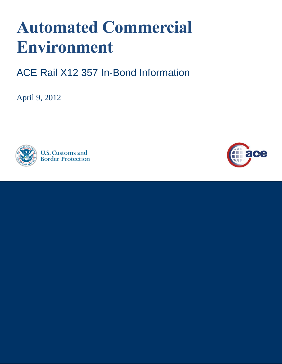# **Automated Commercial Environment**

ACE Rail X12 357 In-Bond Information

April 9, 2012



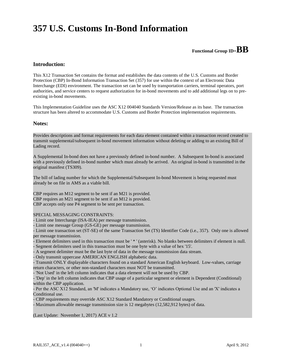# **357 U.S. Customs In-Bond Information**

# **Functional Group ID=BB**

#### **Introduction:**

 This X12 Transaction Set contains the format and establishes the data contents of the U.S. Customs and Border Protection (CBP) In-Bond Information Transaction Set (357) for use within the context of an Electronic Data Interchange (EDI) environment. The transaction set can be used by transportation carriers, terminal operators, port authorities, and service centers to request authorization for in-bond movements and to add additional legs on to preexisting in-bond movements.

 This Implementation Guideline uses the ASC X12 004040 Standards Version/Release as its base. The transaction structure has been altered to accommodate U.S. Customs and Border Protection implementation requirements.

#### **Notes:**

 Provides descriptions and format requirements for each data element contained within a transaction record created to transmit supplemental/subsequent in-bond movement information without deleting or adding to an existing Bill of Lading record.

 A Supplemental In-bond does not have a previously defined in-bond number. A Subsequent In-bond is associated with a previously defined in-bond number which must already be arrived. An original in-bond is transmitted in the original manifest (TS309).

 The bill of lading number for which the Supplemental/Subsequent In-bond Movement is being requested must already be on file in AMS as a viable bill.

 CBP requires an M12 segment to be sent if an M21 is provided. CBP requires an M21 segment to be sent if an M12 is provided. CBP accepts only one P4 segment to be sent per transaction.

#### SPECIAL MESSAGING CONSTRAINTS:

- Limit one Interchange (ISA-IEA) per message transmission.

- Limit one message Group (GS-GE) per message transmission.

 - Limit one transaction set (ST-SE) of the same Transaction Set (TS) Identifier Code (i.e., 357). Only one is allowed per message transmission.

 - Element delimiters used in this transaction must be ' \* ' (asterisk). No blanks between delimiters if element is null. - Segment delimiters used in this transaction must be one byte with a value of hex '15'.

- A segment delimiter must be the last byte of data in the message transmission data stream.

- Only transmit uppercase AMERICAN ENGLISH alphabetic data.

 - Transmit ONLY displayable characters found on a standard American English keyboard. Low-values, carriage return characters, or other non-standard characters must NOT be transmitted.

- 'Not Used' in the left column indicates that a data element will not be used by CBP.

 - 'Dep' in the left column indicates that CBP usage of a particular segment or element is Dependent (Conditional) within the CBP application.

within the CBP application.<br>- Per the ASC X12 Standard, an 'M' indicates a Mandatory use, 'O' indicates Optional Use and an 'X' indicates a Conditional use.

Conditional use.<br>- CBP requirements may override ASC X12 Standard Mandatory or Conditional usages.

- Maximum allowable message transmission size is 12 megabytes (12,582,912 bytes) of data.

(Last Update: November 1, 2017) ACE v 1.2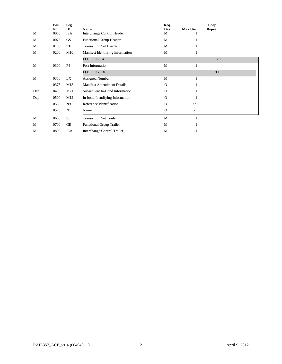|     | Pos.<br>No. | Seg.<br>$\underline{\mathbf{ID}}$ | Name                              | Req.<br>$\frac{\text{Des.}}{\text{M}}$ | Max.Use | Loop<br><b>Repeat</b> |
|-----|-------------|-----------------------------------|-----------------------------------|----------------------------------------|---------|-----------------------|
| M   | 0050        | <b>ISA</b>                        | Interchange Control Header        |                                        |         |                       |
| М   | 0075        | GS                                | <b>Functional Group Header</b>    | M                                      |         |                       |
| М   | 0100        | <b>ST</b>                         | <b>Transaction Set Header</b>     | M                                      | 1       |                       |
| M   | 0200        | M10                               | Manifest Identifying Information  | M                                      | 1       |                       |
|     |             |                                   | LOOP ID - P4                      |                                        |         | 20                    |
| M   | 0300        | <b>P4</b>                         | Port Information                  | M                                      | 1       |                       |
|     |             |                                   | LOOP ID - LX                      |                                        |         | 999                   |
| M   | 0350        | LX                                | <b>Assigned Number</b>            | M                                      | 1       |                       |
|     | 0375        | M13                               | <b>Manifest Amendment Details</b> | O                                      | 1       |                       |
| Dep | 0400        | M21                               | Subsequent In-Bond Information    | O                                      | 1       |                       |
| Dep | 0500        | M12                               | In-bond Identifying Information   | $\Omega$                               | 1       |                       |
|     | 0550        | N <sub>9</sub>                    | Reference Identification          | $\Omega$                               | 999     |                       |
|     | 0575        | N1                                | Name                              | $\mathbf{O}$                           | 25      |                       |
| M   | 0600        | <b>SE</b>                         | <b>Transaction Set Trailer</b>    | M                                      | 1       |                       |
| M   | 0700        | GE                                | <b>Functional Group Trailer</b>   | M                                      | 1       |                       |
| M   | 0800        | <b>IEA</b>                        | Interchange Control Trailer       | M                                      | 1       |                       |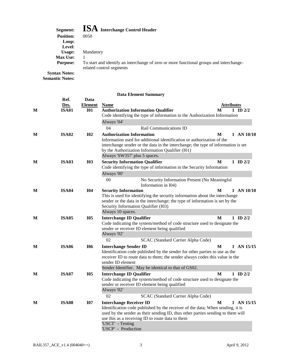# **Segment: ISA Interchange Control Header**

| <b>DUCHILLE</b>      |                                                                                                                     |
|----------------------|---------------------------------------------------------------------------------------------------------------------|
| <b>Position:</b>     | 0050                                                                                                                |
| Loop:                |                                                                                                                     |
| <b>Level:</b>        |                                                                                                                     |
| Usage:               | Mandatory                                                                                                           |
| <b>Max Use:</b>      |                                                                                                                     |
| <b>Purpose:</b>      | To start and identify an interchange of zero or more functional groups and interchange-<br>related control segments |
| <b>Syntax Notes:</b> |                                                                                                                     |

**Semantic Notes:** 

|   |              |                | Data Element Summary                                                                                                       |   |                |
|---|--------------|----------------|----------------------------------------------------------------------------------------------------------------------------|---|----------------|
|   | Ref.         | Data           |                                                                                                                            |   |                |
|   | Des.         | <b>Element</b> | <b>Name</b>                                                                                                                |   | Attributes     |
| M | <b>ISA01</b> | <b>I01</b>     | <b>Authorization Information Qualifier</b>                                                                                 | M | ID $2/2$<br>1  |
|   |              |                | Code identifying the type of information in the Authorization Information                                                  |   |                |
|   |              |                | Always '04'                                                                                                                |   |                |
|   |              |                | 04<br>Rail Communications ID                                                                                               |   |                |
| M | <b>ISA02</b> | <b>I02</b>     | <b>Authorization Information</b>                                                                                           | M | $1$ AN $10/10$ |
|   |              |                | Information used for additional identification or authorization of the                                                     |   |                |
|   |              |                | interchange sender or the data in the interchange; the type of information is set                                          |   |                |
|   |              |                | by the Authorization Information Qualifier (I01)                                                                           |   |                |
|   |              |                | Always 'SW357' plus 5 spaces.                                                                                              |   |                |
| M | <b>ISA03</b> | <b>I03</b>     | <b>Security Information Qualifier</b>                                                                                      | M | 1 ID $2/2$     |
|   |              |                | Code identifying the type of information in the Security Information                                                       |   |                |
|   |              |                | Always '00'                                                                                                                |   |                |
|   |              |                | $00\,$<br>No Security Information Present (No Meaningful<br>Information in I04)                                            |   |                |
| M | <b>ISA04</b> | <b>I04</b>     | <b>Security Information</b>                                                                                                | M | $1$ AN $10/10$ |
|   |              |                | This is used for identifying the security information about the interchange                                                |   |                |
|   |              |                | sender or the data in the interchange; the type of information is set by the                                               |   |                |
|   |              |                | Security Information Qualifier (I03)                                                                                       |   |                |
|   |              |                | Always 10 spaces.                                                                                                          |   |                |
| M | <b>ISA05</b> | <b>I05</b>     | <b>Interchange ID Qualifier</b>                                                                                            | M | $1$ ID $2/2$   |
|   |              |                | Code indicating the system/method of code structure used to designate the<br>sender or receiver ID element being qualified |   |                |
|   |              |                | Always '02'                                                                                                                |   |                |
|   |              |                | 02<br>SCAC (Standard Carrier Alpha Code)                                                                                   |   |                |
|   |              |                |                                                                                                                            |   |                |
| M | <b>ISA06</b> | <b>I06</b>     | <b>Interchange Sender ID</b><br>Identification code published by the sender for other parties to use as the                | M | $1$ AN $15/15$ |
|   |              |                | receiver ID to route data to them; the sender always codes this value in the                                               |   |                |
|   |              |                | sender ID element                                                                                                          |   |                |
|   |              |                | Sender Identifier. May be identical to that of GS02.                                                                       |   |                |
| M | <b>ISA07</b> | <b>I05</b>     | <b>Interchange ID Qualifier</b>                                                                                            | M | 1 ID $2/2$     |
|   |              |                | Code indicating the system/method of code structure used to designate the                                                  |   |                |
|   |              |                | sender or receiver ID element being qualified                                                                              |   |                |
|   |              |                | Always '02'                                                                                                                |   |                |
|   |              |                | 02<br>SCAC (Standard Carrier Alpha Code)                                                                                   |   |                |
| M | <b>ISA08</b> | <b>I07</b>     | <b>Interchange Receiver ID</b>                                                                                             | M | $1$ AN $15/15$ |
|   |              |                | Identification code published by the receiver of the data; When sending, it is                                             |   |                |
|   |              |                | used by the sender as their sending ID, thus other parties sending to them will                                            |   |                |
|   |              |                | use this as a receiving ID to route data to them                                                                           |   |                |
|   |              |                | 'USCT' - Testing                                                                                                           |   |                |
|   |              |                | 'USCP' - Production                                                                                                        |   |                |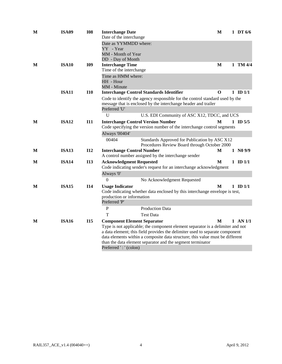| <b>ISA09</b> | <b>I08</b>                                   | <b>Interchange Date</b>                                                                  | $\mathbf{M}$                                                                                                                                                                                                                                                                                                                                                                                                                                                                                                          |                                                                               | 1 DT $6/6$                                                                                                                                                                                                                                                                                                                                                                                                                                                                                                                                                                                                                                                                                                      |
|--------------|----------------------------------------------|------------------------------------------------------------------------------------------|-----------------------------------------------------------------------------------------------------------------------------------------------------------------------------------------------------------------------------------------------------------------------------------------------------------------------------------------------------------------------------------------------------------------------------------------------------------------------------------------------------------------------|-------------------------------------------------------------------------------|-----------------------------------------------------------------------------------------------------------------------------------------------------------------------------------------------------------------------------------------------------------------------------------------------------------------------------------------------------------------------------------------------------------------------------------------------------------------------------------------------------------------------------------------------------------------------------------------------------------------------------------------------------------------------------------------------------------------|
|              |                                              | Date as YYMMDD where:                                                                    |                                                                                                                                                                                                                                                                                                                                                                                                                                                                                                                       |                                                                               |                                                                                                                                                                                                                                                                                                                                                                                                                                                                                                                                                                                                                                                                                                                 |
|              |                                              | YY - Year                                                                                |                                                                                                                                                                                                                                                                                                                                                                                                                                                                                                                       |                                                                               |                                                                                                                                                                                                                                                                                                                                                                                                                                                                                                                                                                                                                                                                                                                 |
|              |                                              |                                                                                          |                                                                                                                                                                                                                                                                                                                                                                                                                                                                                                                       |                                                                               |                                                                                                                                                                                                                                                                                                                                                                                                                                                                                                                                                                                                                                                                                                                 |
| <b>ISA10</b> | I09                                          |                                                                                          | M                                                                                                                                                                                                                                                                                                                                                                                                                                                                                                                     |                                                                               | $1$ TM $4/4$                                                                                                                                                                                                                                                                                                                                                                                                                                                                                                                                                                                                                                                                                                    |
|              |                                              | Time of the interchange                                                                  |                                                                                                                                                                                                                                                                                                                                                                                                                                                                                                                       |                                                                               |                                                                                                                                                                                                                                                                                                                                                                                                                                                                                                                                                                                                                                                                                                                 |
|              |                                              |                                                                                          |                                                                                                                                                                                                                                                                                                                                                                                                                                                                                                                       |                                                                               |                                                                                                                                                                                                                                                                                                                                                                                                                                                                                                                                                                                                                                                                                                                 |
|              |                                              |                                                                                          |                                                                                                                                                                                                                                                                                                                                                                                                                                                                                                                       |                                                                               |                                                                                                                                                                                                                                                                                                                                                                                                                                                                                                                                                                                                                                                                                                                 |
| <b>ISA11</b> | <b>I10</b>                                   | <b>Interchange Control Standards Identifier</b>                                          | $\Omega$                                                                                                                                                                                                                                                                                                                                                                                                                                                                                                              |                                                                               | 1 ID $1/1$                                                                                                                                                                                                                                                                                                                                                                                                                                                                                                                                                                                                                                                                                                      |
|              |                                              |                                                                                          |                                                                                                                                                                                                                                                                                                                                                                                                                                                                                                                       |                                                                               |                                                                                                                                                                                                                                                                                                                                                                                                                                                                                                                                                                                                                                                                                                                 |
|              |                                              |                                                                                          |                                                                                                                                                                                                                                                                                                                                                                                                                                                                                                                       |                                                                               |                                                                                                                                                                                                                                                                                                                                                                                                                                                                                                                                                                                                                                                                                                                 |
|              |                                              |                                                                                          |                                                                                                                                                                                                                                                                                                                                                                                                                                                                                                                       |                                                                               |                                                                                                                                                                                                                                                                                                                                                                                                                                                                                                                                                                                                                                                                                                                 |
|              |                                              |                                                                                          |                                                                                                                                                                                                                                                                                                                                                                                                                                                                                                                       |                                                                               | 1 ID $5/5$                                                                                                                                                                                                                                                                                                                                                                                                                                                                                                                                                                                                                                                                                                      |
|              |                                              |                                                                                          |                                                                                                                                                                                                                                                                                                                                                                                                                                                                                                                       |                                                                               |                                                                                                                                                                                                                                                                                                                                                                                                                                                                                                                                                                                                                                                                                                                 |
|              |                                              | Always '00404'                                                                           |                                                                                                                                                                                                                                                                                                                                                                                                                                                                                                                       |                                                                               |                                                                                                                                                                                                                                                                                                                                                                                                                                                                                                                                                                                                                                                                                                                 |
|              |                                              | 00404                                                                                    |                                                                                                                                                                                                                                                                                                                                                                                                                                                                                                                       |                                                                               |                                                                                                                                                                                                                                                                                                                                                                                                                                                                                                                                                                                                                                                                                                                 |
| <b>ISA13</b> | <b>I12</b>                                   | <b>Interchange Control Number</b><br>A control number assigned by the interchange sender | М                                                                                                                                                                                                                                                                                                                                                                                                                                                                                                                     |                                                                               | 1 N09/9                                                                                                                                                                                                                                                                                                                                                                                                                                                                                                                                                                                                                                                                                                         |
| <b>ISA14</b> | <b>I13</b>                                   | <b>Acknowledgment Requested</b>                                                          | M                                                                                                                                                                                                                                                                                                                                                                                                                                                                                                                     |                                                                               | $1 \quad \text{ID } 1/1$                                                                                                                                                                                                                                                                                                                                                                                                                                                                                                                                                                                                                                                                                        |
|              |                                              |                                                                                          |                                                                                                                                                                                                                                                                                                                                                                                                                                                                                                                       |                                                                               |                                                                                                                                                                                                                                                                                                                                                                                                                                                                                                                                                                                                                                                                                                                 |
|              |                                              |                                                                                          |                                                                                                                                                                                                                                                                                                                                                                                                                                                                                                                       |                                                                               |                                                                                                                                                                                                                                                                                                                                                                                                                                                                                                                                                                                                                                                                                                                 |
|              |                                              |                                                                                          |                                                                                                                                                                                                                                                                                                                                                                                                                                                                                                                       |                                                                               | $1 \quad \text{ID } 1/1$                                                                                                                                                                                                                                                                                                                                                                                                                                                                                                                                                                                                                                                                                        |
|              |                                              |                                                                                          |                                                                                                                                                                                                                                                                                                                                                                                                                                                                                                                       |                                                                               |                                                                                                                                                                                                                                                                                                                                                                                                                                                                                                                                                                                                                                                                                                                 |
|              |                                              | production or information                                                                |                                                                                                                                                                                                                                                                                                                                                                                                                                                                                                                       |                                                                               |                                                                                                                                                                                                                                                                                                                                                                                                                                                                                                                                                                                                                                                                                                                 |
|              |                                              |                                                                                          |                                                                                                                                                                                                                                                                                                                                                                                                                                                                                                                       |                                                                               |                                                                                                                                                                                                                                                                                                                                                                                                                                                                                                                                                                                                                                                                                                                 |
|              |                                              |                                                                                          |                                                                                                                                                                                                                                                                                                                                                                                                                                                                                                                       |                                                                               |                                                                                                                                                                                                                                                                                                                                                                                                                                                                                                                                                                                                                                                                                                                 |
|              |                                              |                                                                                          |                                                                                                                                                                                                                                                                                                                                                                                                                                                                                                                       |                                                                               | $1$ AN $1/1$                                                                                                                                                                                                                                                                                                                                                                                                                                                                                                                                                                                                                                                                                                    |
|              |                                              |                                                                                          |                                                                                                                                                                                                                                                                                                                                                                                                                                                                                                                       |                                                                               |                                                                                                                                                                                                                                                                                                                                                                                                                                                                                                                                                                                                                                                                                                                 |
|              |                                              |                                                                                          |                                                                                                                                                                                                                                                                                                                                                                                                                                                                                                                       |                                                                               |                                                                                                                                                                                                                                                                                                                                                                                                                                                                                                                                                                                                                                                                                                                 |
|              |                                              |                                                                                          |                                                                                                                                                                                                                                                                                                                                                                                                                                                                                                                       |                                                                               |                                                                                                                                                                                                                                                                                                                                                                                                                                                                                                                                                                                                                                                                                                                 |
|              |                                              |                                                                                          |                                                                                                                                                                                                                                                                                                                                                                                                                                                                                                                       |                                                                               |                                                                                                                                                                                                                                                                                                                                                                                                                                                                                                                                                                                                                                                                                                                 |
|              | <b>ISA12</b><br><b>ISA15</b><br><b>ISA16</b> | <b>I11</b><br><b>I14</b><br><b>I15</b>                                                   | Date of the interchange<br>MM - Month of Year<br>DD - Day of Month<br><b>Interchange Time</b><br>Time as HMM where:<br>HH - Hour<br>MM - Minute<br>Preferred 'U'<br>U<br><b>Interchange Control Version Number</b><br>Always '0'<br>$\theta$<br>No Acknowledgment Requested<br><b>Usage Indicator</b><br>Preferred 'P'<br>$\mathbf P$<br><b>Production Data</b><br>T<br><b>Test Data</b><br><b>Component Element Separator</b><br>than the data element separator and the segment terminator<br>Preferred ': '(colon) | message that is enclosed by the interchange header and trailer<br>M<br>M<br>M | Code to identify the agency responsible for the control standard used by the<br>U.S. EDI Community of ASC X12, TDCC, and UCS<br>Code specifying the version number of the interchange control segments<br>Standards Approved for Publication by ASC X12<br>Procedures Review Board through October 2000<br>Code indicating sender's request for an interchange acknowledgment<br>Code indicating whether data enclosed by this interchange envelope is test,<br>Type is not applicable; the component element separator is a delimiter and not<br>a data element; this field provides the delimiter used to separate component<br>data elements within a composite data structure; this value must be different |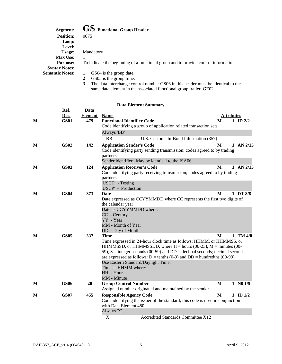| Segment:               | <b>GS</b> Functional Group Header                                                                |
|------------------------|--------------------------------------------------------------------------------------------------|
| <b>Position:</b>       | 0075                                                                                             |
| Loop:                  |                                                                                                  |
| Level:                 |                                                                                                  |
| Usage:                 | Mandatory                                                                                        |
| <b>Max Use:</b>        |                                                                                                  |
| <b>Purpose:</b>        | To indicate the beginning of a functional group and to provide control information               |
| <b>Syntax Notes:</b>   |                                                                                                  |
| <b>Semantic Notes:</b> | GS04 is the group date.                                                                          |
|                        | GS05 is the group time.<br>2                                                                     |
|                        | The data intension as control number $CRO$ in this header must be identical to t<br>$\mathbf{r}$ |

 **3** The data interchange control number GS06 in this header must be identical to the same data element in the associated functional group trailer, GE02.

|   | Ref.        | Data           |                                                                                                                                                                                                                                                                                                                                          |                   |               |
|---|-------------|----------------|------------------------------------------------------------------------------------------------------------------------------------------------------------------------------------------------------------------------------------------------------------------------------------------------------------------------------------------|-------------------|---------------|
|   | Des.        | <b>Element</b> | <b>Name</b>                                                                                                                                                                                                                                                                                                                              | <b>Attributes</b> |               |
| M | <b>GS01</b> | 479            | <b>Functional Identifier Code</b>                                                                                                                                                                                                                                                                                                        | M                 | $1$ ID $2/2$  |
|   |             |                | Code identifying a group of application related transaction sets                                                                                                                                                                                                                                                                         |                   |               |
|   |             |                | Always 'BB'                                                                                                                                                                                                                                                                                                                              |                   |               |
|   |             |                | <b>BB</b><br>U.S. Customs In-Bond Information (357)                                                                                                                                                                                                                                                                                      |                   |               |
| M | <b>GS02</b> | 142            | <b>Application Sender's Code</b><br>Code identifying party sending transmission; codes agreed to by trading                                                                                                                                                                                                                              | M                 | $1$ AN $2/15$ |
|   |             |                | partners<br>Sender identifier. May be identical to the ISA06.                                                                                                                                                                                                                                                                            |                   |               |
|   | <b>GS03</b> | 124            |                                                                                                                                                                                                                                                                                                                                          | M                 | $1$ AN $2/15$ |
| M |             |                | <b>Application Receiver's Code</b><br>Code identifying party receiving transmission; codes agreed to by trading                                                                                                                                                                                                                          |                   |               |
|   |             |                | partners<br>'USCT' - Testing                                                                                                                                                                                                                                                                                                             |                   |               |
|   |             |                | 'USCP' - Production                                                                                                                                                                                                                                                                                                                      |                   |               |
| M | <b>GS04</b> | 373            | Date                                                                                                                                                                                                                                                                                                                                     | M                 | 1 DT 8/8      |
|   |             |                | Date expressed as CCYYMMDD where CC represents the first two digits of                                                                                                                                                                                                                                                                   |                   |               |
|   |             |                | the calendar year                                                                                                                                                                                                                                                                                                                        |                   |               |
|   |             |                | Date as CCYYMMDD where:                                                                                                                                                                                                                                                                                                                  |                   |               |
|   |             |                | CC - Century                                                                                                                                                                                                                                                                                                                             |                   |               |
|   |             |                | YY - Year                                                                                                                                                                                                                                                                                                                                |                   |               |
|   |             |                | MM - Month of Year                                                                                                                                                                                                                                                                                                                       |                   |               |
|   |             |                | DD - Day of Month                                                                                                                                                                                                                                                                                                                        |                   |               |
| M | <b>GS05</b> | 337            | <b>Time</b><br>Time expressed in 24-hour clock time as follows: HHMM, or HHMMSS, or<br>HHMMSSD, or HHMMSSDD, where $H =$ hours (00-23), $M =$ minutes (00-<br>59), $S =$ integer seconds (00-59) and $DD =$ decimal seconds; decimal seconds<br>are expressed as follows: $D = \text{tenths} (0.9)$ and $DD = \text{hundredths} (00-99)$ | M                 | $1$ TM $4/8$  |
|   |             |                | Use Eastern Standard/Daylight Time.                                                                                                                                                                                                                                                                                                      |                   |               |
|   |             |                | Time as HHMM where:                                                                                                                                                                                                                                                                                                                      |                   |               |
|   |             |                | HH - Hour                                                                                                                                                                                                                                                                                                                                |                   |               |
|   |             |                | MM - Minute                                                                                                                                                                                                                                                                                                                              |                   |               |
| M | <b>GS06</b> | 28             | <b>Group Control Number</b>                                                                                                                                                                                                                                                                                                              | M                 | 1 N01/9       |
|   |             |                | Assigned number originated and maintained by the sender                                                                                                                                                                                                                                                                                  |                   |               |
| М | <b>GS07</b> | 455            | <b>Responsible Agency Code</b><br>Code identifying the issuer of the standard; this code is used in conjunction                                                                                                                                                                                                                          | M                 | $1$ ID $1/2$  |
|   |             |                | with Data Element 480                                                                                                                                                                                                                                                                                                                    |                   |               |
|   |             |                | Always 'X'                                                                                                                                                                                                                                                                                                                               |                   |               |
|   |             |                | X<br><b>Accredited Standards Committee X12</b>                                                                                                                                                                                                                                                                                           |                   |               |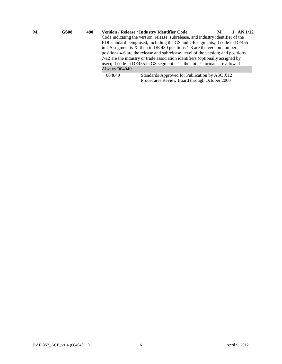| M                                                                              | <b>GS08</b> | 480 |                                                                                   | <b>Version / Release / Industry Identifier Code</b>                        | AN 1/12<br>M |  |  |  |  |
|--------------------------------------------------------------------------------|-------------|-----|-----------------------------------------------------------------------------------|----------------------------------------------------------------------------|--------------|--|--|--|--|
|                                                                                |             |     | Code indicating the version, release, subrelease, and industry identifier of the  |                                                                            |              |  |  |  |  |
|                                                                                |             |     | EDI standard being used, including the GS and GE segments; if code in DE455       |                                                                            |              |  |  |  |  |
| in GS segment is X, then in DE 480 positions $1-3$ are the version number;     |             |     |                                                                                   |                                                                            |              |  |  |  |  |
|                                                                                |             |     | positions 4-6 are the release and subrelease, level of the version; and positions |                                                                            |              |  |  |  |  |
| 7-12 are the industry or trade association identifiers (optionally assigned by |             |     |                                                                                   |                                                                            |              |  |  |  |  |
|                                                                                |             |     |                                                                                   | user); if code in DE455 in GS segment is T, then other formats are allowed |              |  |  |  |  |
| Always '004040'                                                                |             |     |                                                                                   |                                                                            |              |  |  |  |  |
|                                                                                |             |     | 004040                                                                            | Standards Approved for Publication by ASC X12                              |              |  |  |  |  |
|                                                                                |             |     |                                                                                   | Procedures Review Board through October 2000                               |              |  |  |  |  |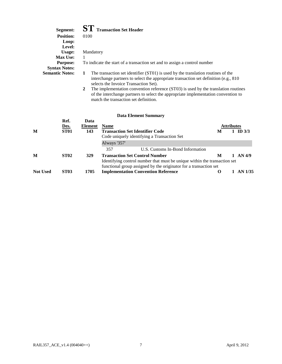| Segment:<br><b>Position:</b><br>Loop:   | <b>ST</b> Transaction Set Header<br>0100                                                                                                                                                                                          |
|-----------------------------------------|-----------------------------------------------------------------------------------------------------------------------------------------------------------------------------------------------------------------------------------|
| Level:                                  |                                                                                                                                                                                                                                   |
| Usage:                                  | Mandatory                                                                                                                                                                                                                         |
| <b>Max Use:</b>                         | 1                                                                                                                                                                                                                                 |
| <b>Purpose:</b><br><b>Syntax Notes:</b> | To indicate the start of a transaction set and to assign a control number                                                                                                                                                         |
| <b>Semantic Notes:</b>                  | The transaction set identifier (ST01) is used by the translation routines of the<br>1<br>interchange partners to select the appropriate transaction set definition (e.g., 810)<br>selects the Invoice Transaction Set).           |
|                                         | The implementation convention reference (ST03) is used by the translation routines<br>$\mathbf{2}$<br>of the interchange partners to select the appropriate implementation convention to<br>match the transaction set definition. |
|                                         |                                                                                                                                                                                                                                   |

| <b>Data Element Summary</b> |  |
|-----------------------------|--|
|-----------------------------|--|

| M               | Ref.<br>Des.<br><b>ST01</b> | Data<br><b>Element</b><br>143 | <b>Name</b><br><b>Transaction Set Identifier Code</b><br>Code uniquely identifying a Transaction Set                                                                                    | M        | <b>Attributes</b> | ID $3/3$ |
|-----------------|-----------------------------|-------------------------------|-----------------------------------------------------------------------------------------------------------------------------------------------------------------------------------------|----------|-------------------|----------|
|                 |                             |                               | Always '357'<br>357<br>U.S. Customs In-Bond Information                                                                                                                                 |          |                   |          |
| M               | <b>ST02</b>                 | 329                           | <b>Transaction Set Control Number</b><br>Identifying control number that must be unique within the transaction set<br>functional group assigned by the originator for a transaction set | M        |                   | AN 4/9   |
| <b>Not Used</b> | <b>ST03</b>                 | 1705                          | <b>Implementation Convention Reference</b>                                                                                                                                              | $\Omega$ |                   | AN 1/35  |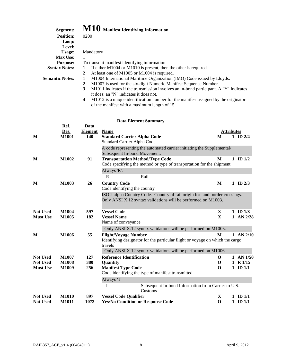| Segment:               | M10 Manifest Identifying Information                                                                                                                                           |
|------------------------|--------------------------------------------------------------------------------------------------------------------------------------------------------------------------------|
| <b>Position:</b>       | 0200                                                                                                                                                                           |
| Loop:                  |                                                                                                                                                                                |
| Level:                 |                                                                                                                                                                                |
| Usage:                 | Mandatory                                                                                                                                                                      |
| <b>Max Use:</b>        |                                                                                                                                                                                |
| <b>Purpose:</b>        | To transmit manifest identifying information                                                                                                                                   |
| <b>Syntax Notes:</b>   | If either M1004 or M1010 is present, then the other is required.                                                                                                               |
|                        | At least one of M1005 or M1004 is required.<br>2                                                                                                                               |
| <b>Semantic Notes:</b> | M1004 International Maritime Organization (IMO) Code issued by Lloyds.                                                                                                         |
|                        | M1007 is used for the six-digit Numeric Manifest Sequence Number.<br>$\mathbf{2}$                                                                                              |
|                        | $\mathbf{A}$ and $\mathbf{A}$ and $\mathbf{A}$ and $\mathbf{A}$ are constant to the contract of the contract of $\mathbf{A}$ in $\mathbf{B}$ and $\mathbf{A}$<br>$\rightarrow$ |

- **3** M1011 indicates if the transmission involves an in-bond participant. A "Y" indicates it does; an "N" indicates it does not.
- **4** M1012 is a unique identification number for the manifest assigned by the originator of the manifest with a maximum length of 15.

|                                    | Ref.                         | Data           |                                                                               |                   |                           |
|------------------------------------|------------------------------|----------------|-------------------------------------------------------------------------------|-------------------|---------------------------|
|                                    | Des.                         | <b>Element</b> | <b>Name</b>                                                                   | <b>Attributes</b> |                           |
| M                                  | <b>M1001</b>                 | 140            | <b>Standard Carrier Alpha Code</b>                                            | M                 | $1$ ID $2/4$              |
|                                    |                              |                | Standard Carrier Alpha Code                                                   |                   |                           |
|                                    |                              |                | A code representing the automated carrier initiating the Supplemental/        |                   |                           |
|                                    |                              |                | Subsequent In-bond Movement.                                                  |                   |                           |
| M                                  | <b>M1002</b>                 | 91             | <b>Transportation Method/Type Code</b>                                        | M                 | $1$ ID $1/2$              |
|                                    |                              |                | Code specifying the method or type of transportation for the shipment         |                   |                           |
|                                    |                              |                | Always 'R'.                                                                   |                   |                           |
|                                    |                              |                | $\mathbf{R}$<br>Rail                                                          |                   |                           |
| M                                  | M1003                        | 26             | <b>Country Code</b>                                                           | M                 | $1 \quad \text{ID } 2/3$  |
|                                    |                              |                | Code identifying the country                                                  |                   |                           |
|                                    |                              |                | ISO 2 alpha Country Code. Country of rail origin for land border crossings. - |                   |                           |
|                                    |                              |                | Only ANSI X.12 syntax validations will be performed on M1003.                 |                   |                           |
|                                    |                              |                |                                                                               |                   |                           |
| <b>Not Used</b>                    | M1004                        | 597            | <b>Vessel Code</b>                                                            | $\mathbf X$       | $1 \quad \text{ID } 1/8$  |
| <b>Must Use</b>                    | M1005                        | 182            | <b>Vessel Name</b>                                                            | $\mathbf{X}$      | 1 AN 2/28                 |
|                                    |                              |                | Name of conveyance                                                            |                   |                           |
|                                    |                              |                | - Only ANSI X.12 syntax validations will be performed on M1005.               |                   |                           |
| M                                  | M1006                        | 55             | <b>Flight/Voyage Number</b>                                                   | M                 | $1$ AN $2/10$             |
|                                    |                              |                | Identifying designator for the particular flight or voyage on which the cargo |                   |                           |
|                                    |                              |                | travels                                                                       |                   |                           |
|                                    |                              |                | - Only ANSI X.12 syntax validations will be performed on M1006.               |                   |                           |
| <b>Not Used</b><br><b>Not Used</b> | <b>M1007</b><br><b>M1008</b> | 127<br>380     | <b>Reference Identification</b>                                               | O<br>$\mathbf 0$  | $1$ AN $1/50$<br>1 R 1/15 |
| <b>Must Use</b>                    | M1009                        | 256            | Quantity<br><b>Manifest Type Code</b>                                         | $\Omega$          | $1$ ID $1/1$              |
|                                    |                              |                | Code identifying the type of manifest transmitted                             |                   |                           |
|                                    |                              |                | Always 'I'                                                                    |                   |                           |
|                                    |                              |                | Subsequent In-bond Information from Carrier to U.S.<br>I                      |                   |                           |
|                                    |                              |                | Customs                                                                       |                   |                           |
| <b>Not Used</b>                    | <b>M1010</b>                 | 897            | <b>Vessel Code Qualifier</b>                                                  | X                 | $1 \quad \text{ID } 1/1$  |
| <b>Not Used</b>                    | <b>M1011</b>                 | 1073           | <b>Yes/No Condition or Response Code</b>                                      | $\mathbf 0$       | $1$ ID $1/1$              |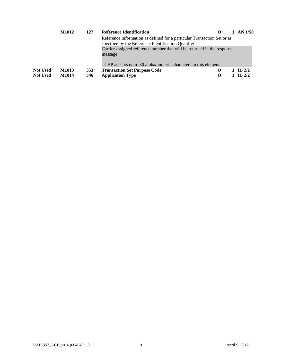|                 | M1012 | 127 | <b>Reference Identification</b>                                                                                                |  | 1 AN $1/50$ |
|-----------------|-------|-----|--------------------------------------------------------------------------------------------------------------------------------|--|-------------|
|                 |       |     | Reference information as defined for a particular Transaction Set or as<br>specified by the Reference Identification Qualifier |  |             |
|                 |       |     | Carrier-assigned reference number that will be returned in the response<br>message.                                            |  |             |
|                 |       |     | - CBP accepts up to 30 alpha/numeric characters in this element.                                                               |  |             |
| <b>Not Used</b> | M1013 | 353 | <b>Transaction Set Purpose Code</b>                                                                                            |  | ID $2/2$    |
| <b>Not Used</b> | M1014 | 346 | <b>Application Type</b>                                                                                                        |  | $ID$ 2/2    |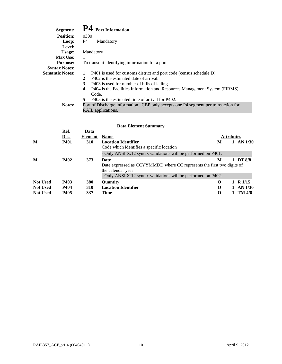| Segment:               | P4 Port Information                                                                |
|------------------------|------------------------------------------------------------------------------------|
| <b>Position:</b>       | 0300                                                                               |
| Loop:                  | P4<br>Mandatory                                                                    |
| Level:                 |                                                                                    |
| Usage:                 | Mandatory                                                                          |
| <b>Max Use:</b>        | 1                                                                                  |
| <b>Purpose:</b>        | To transmit identifying information for a port                                     |
| <b>Syntax Notes:</b>   |                                                                                    |
| <b>Semantic Notes:</b> | P401 is used for customs district and port code (census schedule D).               |
|                        | P402 is the estimated date of arrival.<br>2                                        |
|                        | 3<br>P403 is used for number of bills of lading.                                   |
|                        | 4<br>P404 is the Facilities Information and Resources Management System (FIRMS)    |
|                        | Code.                                                                              |
|                        | P405 is the estimated time of arrival for P402.<br>5                               |
| Notes:                 | Port of Discharge information. CBP only accepts one P4 segment per transaction for |
|                        | RAIL applications.                                                                 |

|                 | Ref.<br>Des. | Data<br><b>Element</b> | <b>Name</b>                                                                                                                                                           | <b>Attributes</b> |  |               |
|-----------------|--------------|------------------------|-----------------------------------------------------------------------------------------------------------------------------------------------------------------------|-------------------|--|---------------|
| M               | <b>P401</b>  | <b>310</b>             | <b>Location Identifier</b><br>Code which identifies a specific location                                                                                               | M                 |  | $1$ AN $1/30$ |
|                 |              |                        | - Only ANSI X.12 syntax validations will be performed on P401.                                                                                                        |                   |  |               |
| M               | <b>P402</b>  | 373                    | Date<br>Date expressed as CCYYMMDD where CC represents the first two digits of<br>the calendar year<br>- Only ANSI X.12 syntax validations will be performed on P402. | M                 |  | DT 8/8        |
| <b>Not Used</b> | P403         | 380                    | <b>Ouantity</b>                                                                                                                                                       | $\Omega$          |  | 1 R $1/15$    |
| <b>Not Used</b> | P404         | <b>310</b>             | <b>Location Identifier</b>                                                                                                                                            | $\Omega$          |  | $1$ AN $1/30$ |
| <b>Not Used</b> | P405         | 337                    | <b>Time</b>                                                                                                                                                           | $\Omega$          |  | 1 TM $4/8$    |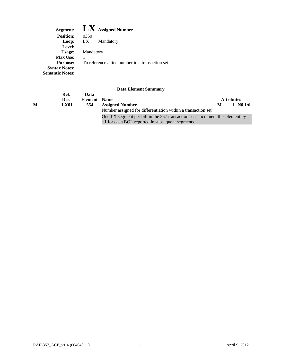${\rm L}{\rm X}$  To reference a line number in a transaction set **Segment: Position: Loop: Level: Usage: Max Use: Purpose: Syntax Notes: Semantic Notes: LX Assigned Number**  0350 Mandatory Mandatory 1

|   | Ref.<br>Des. | Data<br>Element | <b>Name</b>                                                                                                                       |   | <b>Attributes</b> |                                 |  |
|---|--------------|-----------------|-----------------------------------------------------------------------------------------------------------------------------------|---|-------------------|---------------------------------|--|
| м | <b>LX01</b>  | 554             | <b>Assigned Number</b><br>Number assigned for differentiation within a transaction set                                            | М |                   | $1 \, \text{N}0 \, \frac{1}{6}$ |  |
|   |              |                 | One LX segment per bill in the 357 transaction set. Increment this element by<br>+1 for each BOL reported in subsequent segments. |   |                   |                                 |  |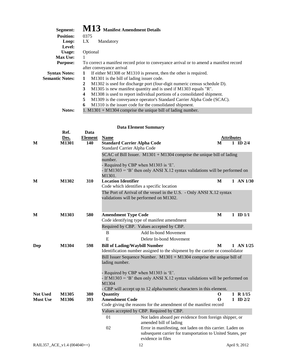| Segment:               | M13 Manifest Amendment Details                                                         |
|------------------------|----------------------------------------------------------------------------------------|
| <b>Position:</b>       | 0375                                                                                   |
| Loop:                  | LX.<br>Mandatory                                                                       |
| Level:                 |                                                                                        |
| Usage:                 | Optional                                                                               |
| <b>Max Use:</b>        |                                                                                        |
| <b>Purpose:</b>        | To correct a manifest record prior to conveyance arrival or to amend a manifest record |
|                        | after conveyance arrival                                                               |
| <b>Syntax Notes:</b>   | If either M1308 or M1310 is present, then the other is required.                       |
| <b>Semantic Notes:</b> | M1301 is the bill of lading issuer code.<br>1                                          |
|                        | M1302 is used for discharge port (four-digit numeric census schedule D).<br>2          |
|                        | M1305 is new manifest quantity and is used if M1303 equals "R".<br>3                   |
|                        | M1308 is used to report individual portions of a consolidated shipment.<br>4           |
|                        | 5<br>M1309 is the conveyance operator's Standard Carrier Alpha Code (SCAC).            |
|                        | M1310 is the issuer code for the consolidated shipment.<br>6                           |
| Notes:                 | 1. M1301 + M1304 comprise the unique bill of lading number.                            |

|                                    | Ref.           | Data           |                                      |                                                                                                                  |                   |                          |
|------------------------------------|----------------|----------------|--------------------------------------|------------------------------------------------------------------------------------------------------------------|-------------------|--------------------------|
|                                    | Des.           | <b>Element</b> | <b>Name</b>                          |                                                                                                                  | <b>Attributes</b> |                          |
| M                                  | M1301          | 140            | <b>Standard Carrier Alpha Code</b>   |                                                                                                                  | M                 | $1$ ID $2/4$             |
|                                    |                |                | Standard Carrier Alpha Code          |                                                                                                                  |                   |                          |
|                                    |                |                |                                      | SCAC of Bill Issuer. $M1301 + M1304$ comprise the unique bill of lading                                          |                   |                          |
|                                    |                |                | number.                              |                                                                                                                  |                   |                          |
|                                    |                |                |                                      | - Required by CBP when M1303 is 'E'.                                                                             |                   |                          |
|                                    |                |                |                                      | - If M1303 = 'B' then only ANSI X.12 syntax validations will be performed on                                     |                   |                          |
| M                                  | M1302          | 310            | M1301.<br><b>Location Identifier</b> |                                                                                                                  | M                 | $1$ AN $1/30$            |
|                                    |                |                |                                      | Code which identifies a specific location                                                                        |                   |                          |
|                                    |                |                |                                      |                                                                                                                  |                   |                          |
|                                    |                |                |                                      | The Port of Arrival of the vessel in the U.S. - Only ANSI X.12 syntax<br>validations will be performed on M1302. |                   |                          |
|                                    |                |                |                                      |                                                                                                                  |                   |                          |
|                                    |                |                |                                      |                                                                                                                  |                   |                          |
| M                                  | M1303          | 580            | <b>Amendment Type Code</b>           |                                                                                                                  | M                 | $1$ ID $1/1$             |
|                                    |                |                |                                      | Code identifying type of manifest amendment                                                                      |                   |                          |
|                                    |                |                |                                      | Required by CBP. Values accepted by CBP.                                                                         |                   |                          |
|                                    |                |                | B                                    | Add In-bond Movement                                                                                             |                   |                          |
|                                    |                |                | E                                    | Delete In-bond Movement                                                                                          |                   |                          |
| Dep                                | M1304          | 598            | <b>Bill of Lading/Waybill Number</b> |                                                                                                                  | M                 | $1$ AN $1/25$            |
|                                    |                |                |                                      | Identification number assigned to the shipment by the carrier or consolidator                                    |                   |                          |
|                                    |                |                |                                      | Bill Issuer Sequence Number. $M1301 + M1304$ comprise the unique bill of                                         |                   |                          |
|                                    |                |                | lading number.                       |                                                                                                                  |                   |                          |
|                                    |                |                |                                      |                                                                                                                  |                   |                          |
|                                    |                |                |                                      | - Required by CBP when M1303 is 'E'.                                                                             |                   |                          |
|                                    |                |                |                                      | - If M1303 = 'B' then only ANSI X.12 syntax validations will be performed on                                     |                   |                          |
|                                    |                |                | M1304                                |                                                                                                                  |                   |                          |
|                                    |                |                |                                      | - CBP will accept up to 12 alpha/numeric characters in this element.                                             |                   |                          |
| <b>Not Used</b><br><b>Must Use</b> | M1305<br>M1306 | 380<br>393     | Quantity<br><b>Amendment Code</b>    |                                                                                                                  | $\mathbf 0$<br>0  | 1 R 1/15<br>$1$ ID $2/2$ |
|                                    |                |                |                                      | Code giving the reasons for the amendment of the manifest record                                                 |                   |                          |
|                                    |                |                |                                      | Values accepted by CBP. Required by CBP.                                                                         |                   |                          |
|                                    |                |                | 01                                   | Not laden aboard per evidence from foreign shipper, or                                                           |                   |                          |
|                                    |                |                |                                      | amended bill of lading                                                                                           |                   |                          |
|                                    |                |                | 02                                   | Error in manifesting, not laden on this carrier. Laden on                                                        |                   |                          |
|                                    |                |                |                                      | subsequent carrier for transportation to United States, per                                                      |                   |                          |
|                                    |                |                |                                      | evidence in files                                                                                                |                   |                          |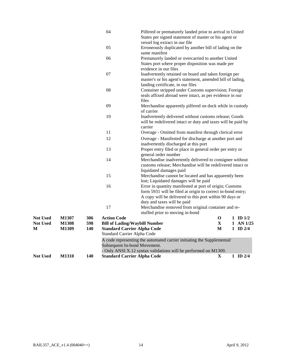| <b>Not Used</b>                         | <b>M1310</b>                                 | 140               | <b>Standard Carrier Alpha Code</b>                                                                                              | - Only ANSI X.12 syntax validations will be performed on M1309.                                                                                                                                                 | X                      | $1$ ID $2/4$                                              |
|-----------------------------------------|----------------------------------------------|-------------------|---------------------------------------------------------------------------------------------------------------------------------|-----------------------------------------------------------------------------------------------------------------------------------------------------------------------------------------------------------------|------------------------|-----------------------------------------------------------|
|                                         |                                              |                   | Subsequent In-bond Movement.                                                                                                    | A code representing the automated carrier initiating the Supplemental/                                                                                                                                          |                        |                                                           |
| <b>Not Used</b><br><b>Not Used</b><br>М | <b>M1307</b><br><b>M1308</b><br><b>M1309</b> | 306<br>598<br>140 | <b>Action Code</b><br><b>Bill of Lading/Waybill Number</b><br><b>Standard Carrier Alpha Code</b><br>Standard Carrier Alpha Code |                                                                                                                                                                                                                 | 0<br>$\mathbf{X}$<br>M | $1 \quad \text{ID } 1/2$<br>$1$ AN $1/25$<br>$1$ ID $2/4$ |
|                                         |                                              |                   | 17                                                                                                                              | Merchandise removed from original container and re-<br>stuffed prior to moving in-bond                                                                                                                          |                        |                                                           |
|                                         |                                              |                   |                                                                                                                                 | form 5931 will be filed at origin to correct in-bond entry;<br>A copy will be delivered to this port within 90 days or<br>duty and taxes will be paid                                                           |                        |                                                           |
|                                         |                                              |                   | 15<br>16                                                                                                                        | Merchandise cannot be located and has apparently been<br>lost; Liquidated damages will be paid<br>Error in quantity manifested at port of origin; Customs                                                       |                        |                                                           |
|                                         |                                              |                   | 14                                                                                                                              | Merchandise inadvertently delivered to consignee without<br>customs release; Merchandise will be redelivered intact or<br>liquidated damages paid                                                               |                        |                                                           |
|                                         |                                              |                   | 13                                                                                                                              | inadvertently discharged at this port<br>Proper entry filed or place in general order per entry or<br>general order number                                                                                      |                        |                                                           |
|                                         |                                              |                   | 12                                                                                                                              | Overage - Manifested for discharge at another port and                                                                                                                                                          |                        |                                                           |
|                                         |                                              |                   | 10<br>11                                                                                                                        | Inadvertently delivered without customs release; Goods<br>will be redelivered intact or duty and taxes will be paid by<br>carrier<br>Overage - Omitted from manifest through clerical error                     |                        |                                                           |
|                                         |                                              |                   | 09                                                                                                                              | files<br>Merchandise apparently pilfered on dock while in custody<br>of carrier                                                                                                                                 |                        |                                                           |
|                                         |                                              |                   | 08                                                                                                                              | landing certificate, in our files<br>Container stripped under Customs supervision; Foreign<br>seals affixed abroad were intact, as per evidence in our                                                          |                        |                                                           |
|                                         |                                              |                   | 07                                                                                                                              | States port where proper disposition was made per<br>evidence in our files<br>Inadvertently retained on board and taken foreign per<br>master's or his agent's statement, amended bill of lading,               |                        |                                                           |
|                                         |                                              |                   | 06                                                                                                                              | same manifest<br>Prematurely landed or overcarried to another United                                                                                                                                            |                        |                                                           |
|                                         |                                              |                   | 05                                                                                                                              | Pilfered or prematurely landed prior to arrival in United<br>States per signed statement of master or his agent or<br>vessel log extract in our file<br>Erroneously duplicated by another bill of lading on the |                        |                                                           |
|                                         |                                              |                   | 04                                                                                                                              |                                                                                                                                                                                                                 |                        |                                                           |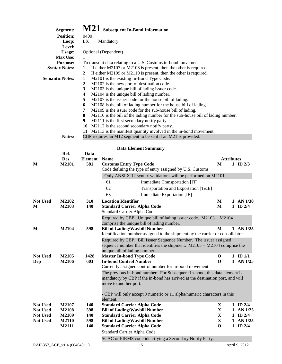| Segment:               | M21 Subsequent In-Bond Information                                                   |
|------------------------|--------------------------------------------------------------------------------------|
| <b>Position:</b>       | 0400                                                                                 |
| Loop:                  | LX.<br>Mandatory                                                                     |
| Level:                 |                                                                                      |
| Usage:                 | Optional (Dependent)                                                                 |
| <b>Max Use:</b>        | 1.                                                                                   |
| <b>Purpose:</b>        | To transmit data relating to a U.S. Customs in-bond movement                         |
| <b>Syntax Notes:</b>   | If either M2107 or M2108 is present, then the other is required.<br>1                |
|                        | If either M2109 or M2110 is present, then the other is required.<br>2                |
| <b>Semantic Notes:</b> | M2101 is the existing In-Bond Type Code.<br>1                                        |
|                        | M2102 is the new port of destination code.<br>2                                      |
|                        | M2103 is the unique bill of lading issuer code.<br>3                                 |
|                        | M2104 is the unique bill of lading number.<br>4                                      |
|                        | 5<br>M2107 is the issuer code for the house bill of lading.                          |
|                        | M2108 is the bill of lading number for the house bill of lading.<br>6                |
|                        | M2109 is the issuer code for the sub-house bill of lading.<br>7                      |
|                        | 8<br>M2110 is the bill of the lading number for the sub-house bill of lading number. |
|                        | 9<br>M2111 is the first secondary notify party.                                      |
|                        | M2112 is the second secondary notify party.<br>10                                    |
|                        | M2113 is the manifest quantity involved in the in-bond movement.<br>11               |
| Notes:                 | CBP requires an M12 segment to be sent if an M21 is provided.                        |

#### **M** M2101 581 Customs Entry Type Code M 1 ID 2/3 Code defining the type of entry assigned by U.S. Customs - Only ANSI X.12 syntax validations will be performed on M2101. 62 Transportation and Exportation [T&E] Standard Carrier Alpha Code Required by CBP. Unique bill of lading issuer code. M2103 + M2104 comprise the unique bill of lading number. Identification number assigned to the shipment by the carrier or consolidator Required by CBP. Bill Issuer Sequence Number. The issuer assigned sequence number that identifies the shipment. M2103 + M2104 comprise the unique bill of lading number. Currently assigned control number for in-bond movement The previous in-bond number. For Subsequent In-bond, this data element is mandatory by CBP if the in-bond has arrived at the destination port, and will move to another port. - CBP will only accept 9 numeric or 11 alpha/numeric characters in this Standard Carrier Alpha Code SCAC or FIRMS code identifying a Secondary Notify Party. **Ref. Data Des.** Element Name **Attributes** 61 Immediate Transportation [IT] 63 Immediate Exportation [IE] Not Used M2102 310 Location Identifier M 1 AN 1/30 **M M2103 140 Standard Carrier Alpha Code M 1 ID 2/4 M M2104 598 Bill of Lading/Waybill Number M 1 AN 1/25 Not Used M2105 1428 Master In-bond Type Code O 1 ID 1/1 Dep M2106 603 In-bond Control Number O 1 AN 1/25**  element. **Not Used M2107 140 Standard Carrier Alpha Code X 1 ID 2/4 Not Used M2108 598 Bill of Lading/Waybill Number X 1 AN 1/25 Not Used M2109 140 Standard Carrier Alpha Code X 1 ID 2/4 Not Used M2110 598 Bill of Lading/Waybill Number X 1 AN 1/25 M2111 140 Standard Carrier Alpha Code O 1 ID 2/4**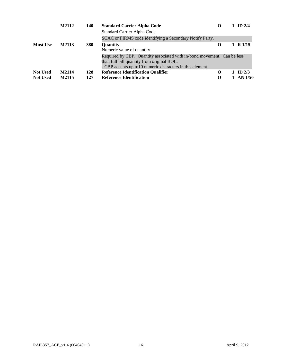|                 | M2112 | 140        | <b>Standard Carrier Alpha Code</b><br>Standard Carrier Alpha Code                                                                                                                   | $\Omega$ | 1 ID $2/4$    |
|-----------------|-------|------------|-------------------------------------------------------------------------------------------------------------------------------------------------------------------------------------|----------|---------------|
|                 |       |            | SCAC or FIRMS code identifying a Secondary Notify Party.                                                                                                                            |          |               |
| <b>Must Use</b> | M2113 | <b>380</b> | <b>Ouantity</b><br>Numeric value of quantity                                                                                                                                        | $\Omega$ | 1 R $1/15$    |
|                 |       |            | Required by CBP. Quantity associated with in-bond movement. Can be less<br>than full bill quantity from original BOL.<br>- CBP accepts up to 10 numeric characters in this element. |          |               |
| <b>Not Used</b> | M2114 | 128        | <b>Reference Identification Qualifier</b>                                                                                                                                           | О        | ID $2/3$      |
| <b>Not Used</b> | M2115 | 127        | <b>Reference Identification</b>                                                                                                                                                     | О        | $1$ AN $1/50$ |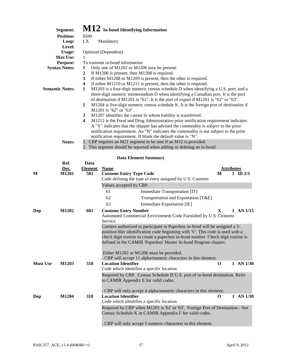| Segment:               | $\bf M12$ In-bond Identifying Information                                                                                                                                                                                                                                                                                              |
|------------------------|----------------------------------------------------------------------------------------------------------------------------------------------------------------------------------------------------------------------------------------------------------------------------------------------------------------------------------------|
| <b>Position:</b>       | 0500                                                                                                                                                                                                                                                                                                                                   |
| Loop:                  | LX.<br>Mandatory                                                                                                                                                                                                                                                                                                                       |
| Level:                 |                                                                                                                                                                                                                                                                                                                                        |
| Usage:                 | Optional (Dependent)                                                                                                                                                                                                                                                                                                                   |
| <b>Max Use:</b>        |                                                                                                                                                                                                                                                                                                                                        |
| <b>Purpose:</b>        | To transmit in-bond information                                                                                                                                                                                                                                                                                                        |
| <b>Syntax Notes:</b>   | Only one of M1202 or M1206 may be present.<br>1                                                                                                                                                                                                                                                                                        |
|                        | If M1206 is present, then M1208 is required.<br>2                                                                                                                                                                                                                                                                                      |
|                        | 3<br>If either $M1208$ or $M1209$ is present, then the other is required.                                                                                                                                                                                                                                                              |
|                        | If either M1210 or M1211 is present, then the other is required.<br>4                                                                                                                                                                                                                                                                  |
| <b>Semantic Notes:</b> | M1203 is a four-digit numeric census schedule D when identifying a U.S. port, and a<br>1<br>three-digit numeric memorandum D when identifying a Canadian port. It is the port<br>of destination if M1201 is "61". It is the port of export if M1201 is "62" or "63".                                                                   |
|                        | M1204 is five-digit numeric census schedule K. It is the foreign port of destination if<br>$\mathbf{2}$<br>M1201 is "62" or "63".                                                                                                                                                                                                      |
|                        | M1207 identifies the carrier to whom liability is transferred.<br>3                                                                                                                                                                                                                                                                    |
|                        | M1212 is the Food and Drug Administration prior notification requirement indicator.<br>4<br>A "Y" indicates that the shipper has advised the commodity is subject to the prior<br>notification requirement. An "N" indicates the commodity is not subject to the prior<br>notification requirement. If blank the default value is "N". |
| <b>Notes:</b>          | 1. CBP requires an M21 segment to be sent if an M12 is provided.<br>2. This segment should be reported when adding or deleting an in-bond.                                                                                                                                                                                             |

|                 | Ref.  | Data           |                                                                                                                                                                                                                                                                                                                          |                                                                                                                                         |            |  |               |
|-----------------|-------|----------------|--------------------------------------------------------------------------------------------------------------------------------------------------------------------------------------------------------------------------------------------------------------------------------------------------------------------------|-----------------------------------------------------------------------------------------------------------------------------------------|------------|--|---------------|
|                 | Des.  | <b>Element</b> | <b>Name</b>                                                                                                                                                                                                                                                                                                              |                                                                                                                                         | Attributes |  |               |
| M               | M1201 | 581            | <b>Customs Entry Type Code</b>                                                                                                                                                                                                                                                                                           |                                                                                                                                         | M          |  | 1 ID $2/3$    |
|                 |       |                |                                                                                                                                                                                                                                                                                                                          | Code defining the type of entry assigned by U.S. Customs                                                                                |            |  |               |
|                 |       |                | Values accepted by CBP.                                                                                                                                                                                                                                                                                                  |                                                                                                                                         |            |  |               |
|                 |       |                | 61                                                                                                                                                                                                                                                                                                                       | Immediate Transportation [IT]                                                                                                           |            |  |               |
|                 |       |                | 62                                                                                                                                                                                                                                                                                                                       | Transportation and Exportation [T&E]                                                                                                    |            |  |               |
|                 |       |                | 63                                                                                                                                                                                                                                                                                                                       | Immediate Exportation [IE]                                                                                                              |            |  |               |
| Dep             | M1202 | 601            | <b>Customs Entry Number</b>                                                                                                                                                                                                                                                                                              |                                                                                                                                         | X          |  | $1$ AN $1/15$ |
|                 |       |                | Service                                                                                                                                                                                                                                                                                                                  | Automated Commercial Environment Code Furnished by U.S. Customs                                                                         |            |  |               |
|                 |       |                | Carriers authorized to participate in Paperless in-bond will be assigned a 3-<br>position filer identification code beginning with 'V'. This code is used with a<br>check digit routine to create a paperless in-bond number. Check digit routine is<br>defined in the CAMIR 'Paperless' Master In-bond Program chapter. |                                                                                                                                         |            |  |               |
|                 |       |                | Either M1202 or M1206 must be provided.                                                                                                                                                                                                                                                                                  |                                                                                                                                         |            |  |               |
|                 |       |                |                                                                                                                                                                                                                                                                                                                          | - CBP will accept 11 alpha/numeric characters in this element.                                                                          |            |  |               |
| <b>Must Use</b> | M1203 | 310            | <b>Location Identifier</b>                                                                                                                                                                                                                                                                                               |                                                                                                                                         | $\bf{O}$   |  | $1$ AN $1/30$ |
|                 |       |                | Code which identifies a specific location                                                                                                                                                                                                                                                                                |                                                                                                                                         |            |  |               |
|                 |       |                | to CAMIR Appendix E for valid codes.                                                                                                                                                                                                                                                                                     | Required by CBP. Census Schedule D U.S. port of in-bond destination. Refer                                                              |            |  |               |
|                 |       |                |                                                                                                                                                                                                                                                                                                                          | - CBP will only accept 4 alpha/numeric characters in this element.                                                                      |            |  |               |
| Dep             | M1204 | 310            | <b>Location Identifier</b>                                                                                                                                                                                                                                                                                               |                                                                                                                                         | O          |  | $1$ AN $1/30$ |
|                 |       |                | Code which identifies a specific location                                                                                                                                                                                                                                                                                |                                                                                                                                         |            |  |               |
|                 |       |                |                                                                                                                                                                                                                                                                                                                          | Required by CBP when M1201 is '62' or '63'. Foreign Port of Destination - See<br>Census Schedule K in CAMIR Appendix F for valid codes. |            |  |               |
|                 |       |                |                                                                                                                                                                                                                                                                                                                          | - CBP will only accept 5 numeric characters in this element.                                                                            |            |  |               |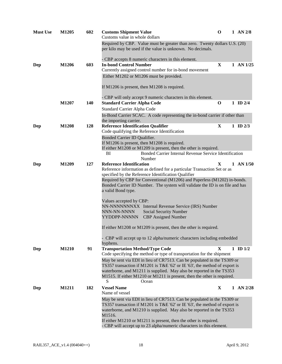| <b>Must Use</b> | M1205        | 602 | <b>Customs Shipment Value</b><br>Customs value in whole dollars                                                                                          | O           | $1$ AN $2/8$  |
|-----------------|--------------|-----|----------------------------------------------------------------------------------------------------------------------------------------------------------|-------------|---------------|
|                 |              |     | Required by CBP. Value must be greater than zero. Twenty dollars U.S. (20)<br>per kilo may be used if the value is unknown. No decimals.                 |             |               |
|                 |              |     | - CBP accepts 8 numeric characters in this element.                                                                                                      |             |               |
| Dep             | M1206        | 603 | <b>In-bond Control Number</b>                                                                                                                            | X           | $1$ AN $1/25$ |
|                 |              |     | Currently assigned control number for in-bond movement                                                                                                   |             |               |
|                 |              |     | Either M1202 or M1206 must be provided.                                                                                                                  |             |               |
|                 |              |     | If $M1206$ is present, then $M1208$ is required.                                                                                                         |             |               |
|                 |              |     | - CBP will only accept 9 numeric characters in this element.                                                                                             |             |               |
|                 | M1207        | 140 | <b>Standard Carrier Alpha Code</b>                                                                                                                       | $\mathbf 0$ | $1$ ID $2/4$  |
|                 |              |     | Standard Carrier Alpha Code                                                                                                                              |             |               |
|                 |              |     | In-Bond Carrier SCAC. A code representing the in-bond carrier if other than                                                                              |             |               |
|                 |              |     | the importing carrier.                                                                                                                                   |             |               |
| Dep             | <b>M1208</b> | 128 | <b>Reference Identification Qualifier</b>                                                                                                                | $\mathbf X$ | 1 ID $2/3$    |
|                 |              |     | Code qualifying the Reference Identification                                                                                                             |             |               |
|                 |              |     | Bonded Carrier ID Qualifier.<br>If M1206 is present, then M1208 is required.                                                                             |             |               |
|                 |              |     | If either M1208 or M1209 is present, then the other is required.                                                                                         |             |               |
|                 |              |     | Bonded Carrier Internal Revenue Service Identification<br>BI<br>Number                                                                                   |             |               |
| Dep             | M1209        | 127 | <b>Reference Identification</b>                                                                                                                          | X           | $1$ AN $1/50$ |
|                 |              |     | Reference information as defined for a particular Transaction Set or as                                                                                  |             |               |
|                 |              |     | specified by the Reference Identification Qualifier                                                                                                      |             |               |
|                 |              |     | Required by CBP for Conventional (M1206) and Paperless (M1202) in-bonds.<br>Bonded Carrier ID Number. The system will validate the ID is on file and has |             |               |
|                 |              |     | a valid Bond type.                                                                                                                                       |             |               |
|                 |              |     | Values accepted by CBP:                                                                                                                                  |             |               |
|                 |              |     | NN-NNNNNNNXX Internal Revenue Service (IRS) Number                                                                                                       |             |               |
|                 |              |     | NNN-NN-NNNN<br>Social Security Number                                                                                                                    |             |               |
|                 |              |     | YYDDPP-NNNNN<br><b>CBP</b> Assigned Number                                                                                                               |             |               |
|                 |              |     | If either M1208 or M1209 is present, then the other is required.                                                                                         |             |               |
|                 |              |     | CBP will accept up to 12 alpha/numeric characters including embedded<br>hyphens.                                                                         |             |               |
| Dep             | M1210        | 91  | <b>Transportation Method/Type Code</b>                                                                                                                   | X           | $1$ ID $1/2$  |
|                 |              |     | Code specifying the method or type of transportation for the shipment                                                                                    |             |               |
|                 |              |     | May be sent via EDI in lieu of CR7513. Can be populated in the TS309 or                                                                                  |             |               |
|                 |              |     | TS357 transaction if M1201 is T&E '62' or IE '63', the method of export is<br>waterborne, and M1211 is supplied. May also be reported in the TS353       |             |               |
|                 |              |     | M1515. If either M1210 or M1211 is present, then the other is required.                                                                                  |             |               |
|                 |              |     | S<br>Ocean                                                                                                                                               |             |               |
| Dep             | M1211        | 182 | <b>Vessel Name</b>                                                                                                                                       | X           | $1$ AN $2/28$ |
|                 |              |     | Name of vessel                                                                                                                                           |             |               |
|                 |              |     |                                                                                                                                                          |             |               |
|                 |              |     | May be sent via EDI in lieu of CR7513. Can be populated in the TS309 or                                                                                  |             |               |
|                 |              |     | TS357 transaction if M1201 is T&E '62' or IE '63', the method of export is                                                                               |             |               |
|                 |              |     | waterborne, and M1210 is supplied. May also be reported in the TS353                                                                                     |             |               |
|                 |              |     | M1516.<br>If either M1210 or M1211 is present, then the other is required.                                                                               |             |               |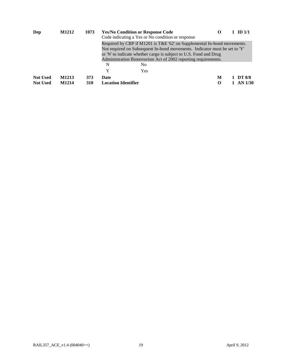| Dep             | M1212 | 1073       | <b>Yes/No Condition or Response Code</b>                                                                                                                                                                                                                                                      | Code indicating a Yes or No condition or response | $\Omega$ | $1 \quad \text{ID } 1/1$ |
|-----------------|-------|------------|-----------------------------------------------------------------------------------------------------------------------------------------------------------------------------------------------------------------------------------------------------------------------------------------------|---------------------------------------------------|----------|--------------------------|
|                 |       |            | Required by CBP if M1201 is T&E '62' on Supplemental In-bond movements.<br>Not required on Subsequent In-bond movements. Indicator must be set to 'Y'<br>or 'N' to indicate whether cargo is subject to U.S. Food and Drug<br>Administration Bioterrorism Act of 2002 reporting requirements. |                                                   |          |                          |
|                 |       |            | N                                                                                                                                                                                                                                                                                             | No.                                               |          |                          |
|                 |       |            | Y                                                                                                                                                                                                                                                                                             | Yes                                               |          |                          |
| <b>Not Used</b> | M1213 | 373        | Date                                                                                                                                                                                                                                                                                          |                                                   | M        | $1\quad\text{DT }8/8$    |
| <b>Not Used</b> | M1214 | <b>310</b> | <b>Location Identifier</b>                                                                                                                                                                                                                                                                    |                                                   | О        | $1$ AN $1/30$            |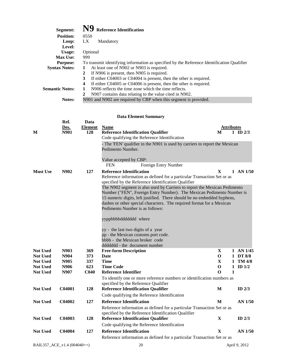| Segment:                  |                               | <b>Reference Identification</b>                                                            |                             |
|---------------------------|-------------------------------|--------------------------------------------------------------------------------------------|-----------------------------|
| <b>Position:</b>          | 0550                          |                                                                                            |                             |
| Loop:                     | LX.                           | Mandatory                                                                                  |                             |
| Level:                    |                               |                                                                                            |                             |
| Usage:                    | Optional                      |                                                                                            |                             |
| <b>Max Use:</b>           | 999                           |                                                                                            |                             |
| <b>Purpose:</b>           |                               | To transmit identifying information as specified by the Reference Identification Qualifier |                             |
| <b>Syntax Notes:</b>      | 1                             | At least one of N902 or N903 is required.                                                  |                             |
|                           | 2                             | If N906 is present, then N905 is required.                                                 |                             |
|                           | 3                             | If either C04003 or C04004 is present, then the other is required.                         |                             |
|                           | 4                             | If either C04005 or C04006 is present, then the other is required.                         |                             |
| <b>Semantic Notes:</b>    |                               | N906 reflects the time zone which the time reflects.                                       |                             |
|                           | 2                             | N907 contains data relating to the value cited in N902.                                    |                             |
| Notes:                    |                               | N901 and N902 are required by CBP when this segment is provided.                           |                             |
| Ref.<br>Des.<br>М<br>N901 | Data<br><b>Element</b><br>128 | <b>Data Element Summary</b><br><b>Name</b><br><b>Reference Identification Qualifier</b>    | Attributes<br>ID $2/3$<br>M |
|                           |                               | Code qualifying the Reference Identification                                               |                             |

|                                    |              |                  | Code qualitying the Reference Identification                                                                                     |                  |   |                              |
|------------------------------------|--------------|------------------|----------------------------------------------------------------------------------------------------------------------------------|------------------|---|------------------------------|
|                                    |              |                  | - The 'FEN' qualifier in the N901 is used by carriers to report the Mexican<br>Pedimento Number.                                 |                  |   |                              |
|                                    |              |                  |                                                                                                                                  |                  |   |                              |
|                                    |              |                  | Value accepted by CBP:                                                                                                           |                  |   |                              |
|                                    |              |                  | Foreign Entry Number<br><b>FEN</b>                                                                                               |                  |   |                              |
| <b>Must Use</b>                    | N902         | 127              | <b>Reference Identification</b>                                                                                                  | $\mathbf X$      |   | $1$ AN $1/50$                |
|                                    |              |                  | Reference information as defined for a particular Transaction Set or as                                                          |                  |   |                              |
|                                    |              |                  | specified by the Reference Identification Qualifier<br>The N902 segment is also used by Carriers to report the Mexican Pedimento |                  |   |                              |
|                                    |              |                  | Number ("FEN", Foreign Entry Number). The Mexican Pedimento Number is                                                            |                  |   |                              |
|                                    |              |                  | 15 numeric digits, left justified. There should be no embedded hyphens,                                                          |                  |   |                              |
|                                    |              |                  | dashes or other special characters. The required format for a Mexican                                                            |                  |   |                              |
|                                    |              |                  | Pedimento Number is as follows:                                                                                                  |                  |   |                              |
|                                    |              |                  | yyppbbbbddddddd where                                                                                                            |                  |   |                              |
|                                    |              |                  |                                                                                                                                  |                  |   |                              |
|                                    |              |                  | yy - the last two digits of a year<br>pp - the Mexican customs port code.                                                        |                  |   |                              |
|                                    |              |                  | bbbb - the Mexican broker code                                                                                                   |                  |   |                              |
|                                    |              |                  | dddddd - the document number                                                                                                     |                  |   |                              |
| <b>Not Used</b>                    | N903         | 369              | <b>Free-form Description</b>                                                                                                     | $\mathbf{X}$     |   | 1 AN 1/45                    |
| <b>Not Used</b>                    | N904         | 373              | <b>Date</b>                                                                                                                      | $\mathbf 0$      |   | 1 DT 8/8                     |
| <b>Not Used</b><br><b>Not Used</b> | N905<br>N906 | 337<br>623       | <b>Time</b><br><b>Time Code</b>                                                                                                  | X<br>$\mathbf 0$ |   | $1$ TM $4/8$<br>$1$ ID $1/2$ |
| <b>Not Used</b>                    | N907         | C <sub>040</sub> | <b>Reference Identifier</b>                                                                                                      | O                | 1 |                              |
|                                    |              |                  | To identify one or more reference numbers or identification numbers as                                                           |                  |   |                              |
|                                    |              |                  | specified by the Reference Qualifier                                                                                             |                  |   |                              |
| <b>Not Used</b>                    | C04001       | 128              | <b>Reference Identification Qualifier</b>                                                                                        | M                |   | ID $2/3$                     |
|                                    |              |                  | Code qualifying the Reference Identification                                                                                     |                  |   |                              |
| <b>Not Used</b>                    | C04002       | 127              | <b>Reference Identification</b>                                                                                                  | M                |   | AN 1/50                      |
|                                    |              |                  | Reference information as defined for a particular Transaction Set or as                                                          |                  |   |                              |
| <b>Not Used</b>                    | C04003       | 128              | specified by the Reference Identification Qualifier<br><b>Reference Identification Qualifier</b>                                 | $\mathbf{X}$     |   | ID $2/3$                     |
|                                    |              |                  | Code qualifying the Reference Identification                                                                                     |                  |   |                              |
| <b>Not Used</b>                    | C04004       | 127              | <b>Reference Identification</b>                                                                                                  | X                |   | $AN$ 1/50                    |
|                                    |              |                  | Reference information as defined for a particular Transaction Set or as                                                          |                  |   |                              |
|                                    |              |                  |                                                                                                                                  |                  |   |                              |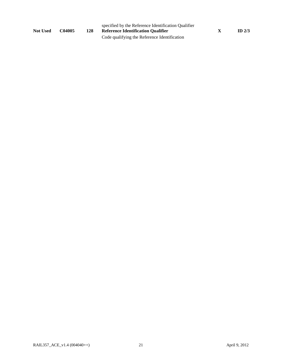| <b>Not Used</b> | C04005 | 128 | specified by the Reference Identification Qualifier<br><b>Reference Identification Qualifier</b> | ID $2/3$ |
|-----------------|--------|-----|--------------------------------------------------------------------------------------------------|----------|
|                 |        |     | Code qualifying the Reference Identification                                                     |          |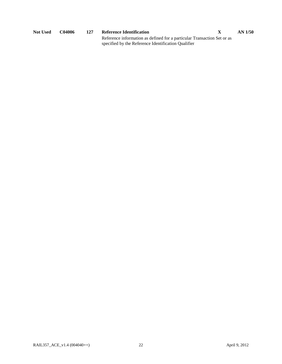| Not Used | C04006 | 127 | Reference Identification                                                | $AN$ 1/50 |
|----------|--------|-----|-------------------------------------------------------------------------|-----------|
|          |        |     | Reference information as defined for a particular Transaction Set or as |           |
|          |        |     | specified by the Reference Identification Qualifier                     |           |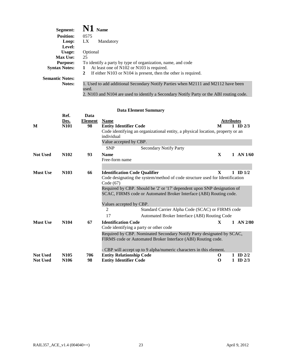| Segment:               | $\mathbf{N1}_{\text{Name}}$                                                                |
|------------------------|--------------------------------------------------------------------------------------------|
| <b>Position:</b>       | 0575                                                                                       |
| Loop:                  | LX.<br>Mandatory                                                                           |
| Level:                 |                                                                                            |
| Usage:                 | Optional                                                                                   |
| <b>Max Use:</b>        | 25                                                                                         |
| <b>Purpose:</b>        | To identify a party by type of organization, name, and code                                |
| <b>Syntax Notes:</b>   | At least one of N102 or N103 is required.<br>1                                             |
|                        | If either N103 or N104 is present, then the other is required.<br>2                        |
| <b>Semantic Notes:</b> |                                                                                            |
| <b>Notes:</b>          | 1. Used to add additional Secondary Notify Parties when M2111 and M2112 have been<br>used. |
|                        | 2. N103 and N104 are used to identify a Secondary Notify Party or the ABI routing code.    |

|                 | Ref.                          | Data           |                                                                                |              |                          |
|-----------------|-------------------------------|----------------|--------------------------------------------------------------------------------|--------------|--------------------------|
|                 | Des.                          | <b>Element</b> | <b>Name</b>                                                                    |              | <b>Attributes</b>        |
| M               | N101                          | 98             | <b>Entity Identifier Code</b>                                                  | M            | 1 ID $2/3$               |
|                 |                               |                | Code identifying an organizational entity, a physical location, property or an |              |                          |
|                 |                               |                | individual                                                                     |              |                          |
|                 |                               |                | Value accepted by CBP.                                                         |              |                          |
|                 |                               |                | <b>SNP</b><br><b>Secondary Notify Party</b>                                    |              |                          |
|                 |                               |                |                                                                                |              |                          |
| <b>Not Used</b> | N <sub>1</sub> 0 <sub>2</sub> | 93             | <b>Name</b>                                                                    | $\mathbf{X}$ | $1$ AN $1/60$            |
|                 |                               |                | Free-form name                                                                 |              |                          |
|                 |                               |                |                                                                                |              |                          |
| <b>Must Use</b> | N <sub>103</sub>              | 66             | <b>Identification Code Qualifier</b>                                           | $\mathbf{x}$ | $1 \quad \text{ID } 1/2$ |
|                 |                               |                | Code designating the system/method of code structure used for Identification   |              |                          |
|                 |                               |                | Code $(67)$                                                                    |              |                          |
|                 |                               |                | Required by CBP. Should be '2' or '17' dependent upon SNP designation of       |              |                          |
|                 |                               |                | SCAC, FIRMS code or Automated Broker Interface (ABI) Routing code.             |              |                          |
|                 |                               |                |                                                                                |              |                          |
|                 |                               |                | Values accepted by CBP.                                                        |              |                          |
|                 |                               |                | Standard Carrier Alpha Code (SCAC) or FIRMS code<br>2                          |              |                          |
|                 |                               |                | 17<br>Automated Broker Interface (ABI) Routing Code                            |              |                          |
| <b>Must Use</b> | N <sub>104</sub>              | 67             | <b>Identification Code</b>                                                     | $\mathbf{X}$ | $1$ AN $2/80$            |
|                 |                               |                | Code identifying a party or other code                                         |              |                          |
|                 |                               |                | Required by CBP. Nominated Secondary Notify Party designated by SCAC,          |              |                          |
|                 |                               |                | FIRMS code or Automated Broker Interface (ABI) Routing code.                   |              |                          |
|                 |                               |                |                                                                                |              |                          |
|                 |                               |                | - CBP will accept up to 9 alpha/numeric characters in this element.            |              |                          |
| <b>Not Used</b> | N <sub>105</sub>              | 706            | <b>Entity Relationship Code</b>                                                | $\Omega$     | 1 ID $2/2$               |
| <b>Not Used</b> | N <sub>106</sub>              | 98             | <b>Entity Identifier Code</b>                                                  | O            | $1 \quad ID$ $2/3$       |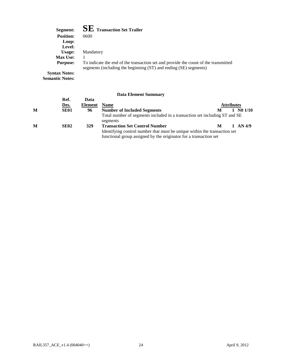| Segment:             | $\mathbf{SE}\ \mathbf{Transaction}\ \mathbf{Set}\ \mathbf{Trailer}$                                                                                     |
|----------------------|---------------------------------------------------------------------------------------------------------------------------------------------------------|
| <b>Position:</b>     | 0600                                                                                                                                                    |
| Loop:                |                                                                                                                                                         |
| Level:               |                                                                                                                                                         |
| Usage:               | Mandatory                                                                                                                                               |
| <b>Max Use:</b>      |                                                                                                                                                         |
| <b>Purpose:</b>      | To indicate the end of the transaction set and provide the count of the transmitted<br>segments (including the beginning (ST) and ending (SE) segments) |
| <b>Syntax Notes:</b> |                                                                                                                                                         |

**Semantic Notes:** 

|   |             |                | рата елепнент биннийгү                                                                 |   |                   |                                  |
|---|-------------|----------------|----------------------------------------------------------------------------------------|---|-------------------|----------------------------------|
|   | Ref.        | Data           |                                                                                        |   |                   |                                  |
|   | Des.        | <b>Element</b> | <b>Name</b>                                                                            |   | <b>Attributes</b> |                                  |
| M | <b>SE01</b> | 96             | <b>Number of Included Segments</b>                                                     |   |                   | $1 \, \text{N}0 \, \frac{1}{10}$ |
|   |             |                | Total number of segments included in a transaction set including ST and SE<br>segments |   |                   |                                  |
| M | <b>SE02</b> | <b>329</b>     | <b>Transaction Set Control Number</b>                                                  | м |                   | 1 AN $4/9$                       |
|   |             |                | Identifying control number that must be unique within the transaction set              |   |                   |                                  |
|   |             |                | functional group assigned by the originator for a transaction set                      |   |                   |                                  |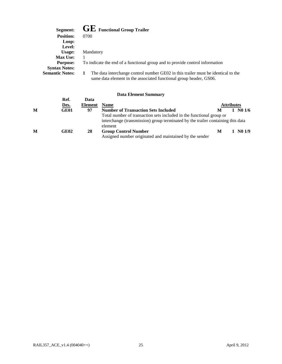| Segment:               | $\mathbf{GE}\:$ Functional Group Trailer                                                                                                                |
|------------------------|---------------------------------------------------------------------------------------------------------------------------------------------------------|
| <b>Position:</b>       | 0700                                                                                                                                                    |
| Loop:                  |                                                                                                                                                         |
| Level:                 |                                                                                                                                                         |
| Usage:                 | Mandatory                                                                                                                                               |
| <b>Max Use:</b>        |                                                                                                                                                         |
| <b>Purpose:</b>        | To indicate the end of a functional group and to provide control information                                                                            |
| <b>Syntax Notes:</b>   |                                                                                                                                                         |
| <b>Semantic Notes:</b> | The data interchange control number GE02 in this trailer must be identical to the<br>same data element in the associated functional group header, GS06. |

|   |      |         | Data Littlittli Quillillai V                                                    |                   |                     |
|---|------|---------|---------------------------------------------------------------------------------|-------------------|---------------------|
|   | Ref. | Data    |                                                                                 |                   |                     |
|   | Des. | Element | <b>Name</b>                                                                     | <b>Attributes</b> |                     |
| M | GE01 | 97      | <b>Number of Transaction Sets Included</b>                                      | M                 | $1 \, \text{N}01/6$ |
|   |      |         | Total number of transaction sets included in the functional group or            |                   |                     |
|   |      |         | interchange (transmission) group terminated by the trailer containing this data |                   |                     |
|   |      |         | element                                                                         |                   |                     |
| M | GE02 | 28      | <b>Group Control Number</b>                                                     | M                 | N <sub>0</sub> 1/9  |
|   |      |         | Assigned number originated and maintained by the sender                         |                   |                     |